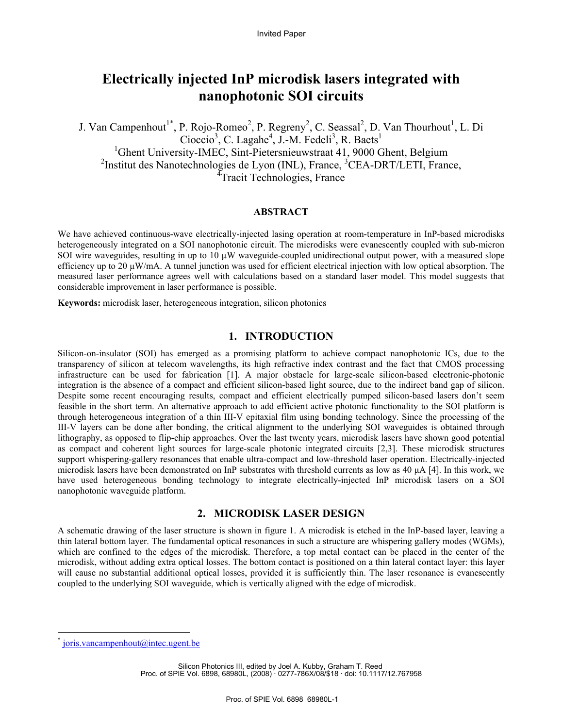# **Electrically injected InP microdisk lasers integrated with nanophotonic SOI circuits**

J. Van Campenhout<sup>1\*</sup>, P. Rojo-Romeo<sup>2</sup>, P. Regreny<sup>2</sup>, C. Seassal<sup>2</sup>, D. Van Thourhout<sup>1</sup>, L. Di Cioccio<sup>3</sup>, C. Lagahe<sup>4</sup>, J.-M. Fedeli<sup>3</sup>, R. Baets<sup>1</sup> <sup>1</sup>Ghent University-IMEC, Sint-Pietersnieuwstraat 41, 9000 Ghent, Belgium <sup>2</sup>Institut des Nanotechnologies de Lyon (INL), France,  ${}^{3}$ CEA-DRT/LETI, France, <sup>4</sup>Tracit Technologies, France

# **ABSTRACT**

We have achieved continuous-wave electrically-injected lasing operation at room-temperature in InP-based microdisks heterogeneously integrated on a SOI nanophotonic circuit. The microdisks were evanescently coupled with sub-micron SOI wire waveguides, resulting in up to  $10 \mu W$  waveguide-coupled unidirectional output power, with a measured slope efficiency up to 20 µW/mA. A tunnel junction was used for efficient electrical injection with low optical absorption. The measured laser performance agrees well with calculations based on a standard laser model. This model suggests that considerable improvement in laser performance is possible.

**Keywords:** microdisk laser, heterogeneous integration, silicon photonics

# **1. INTRODUCTION**

Silicon-on-insulator (SOI) has emerged as a promising platform to achieve compact nanophotonic ICs, due to the transparency of silicon at telecom wavelengths, its high refractive index contrast and the fact that CMOS processing infrastructure can be used for fabrication [1]. A major obstacle for large-scale silicon-based electronic-photonic integration is the absence of a compact and efficient silicon-based light source, due to the indirect band gap of silicon. Despite some recent encouraging results, compact and efficient electrically pumped silicon-based lasers don't seem feasible in the short term. An alternative approach to add efficient active photonic functionality to the SOI platform is through heterogeneous integration of a thin III-V epitaxial film using bonding technology. Since the processing of the III-V layers can be done after bonding, the critical alignment to the underlying SOI waveguides is obtained through lithography, as opposed to flip-chip approaches. Over the last twenty years, microdisk lasers have shown good potential as compact and coherent light sources for large-scale photonic integrated circuits [2,3]. These microdisk structures support whispering-gallery resonances that enable ultra-compact and low-threshold laser operation. Electrically-injected microdisk lasers have been demonstrated on InP substrates with threshold currents as low as 40 µA [4]. In this work, we have used heterogeneous bonding technology to integrate electrically-injected InP microdisk lasers on a SOI nanophotonic waveguide platform.

# **2. MICRODISK LASER DESIGN**

A schematic drawing of the laser structure is shown in figure 1. A microdisk is etched in the InP-based layer, leaving a thin lateral bottom layer. The fundamental optical resonances in such a structure are whispering gallery modes (WGMs), which are confined to the edges of the microdisk. Therefore, a top metal contact can be placed in the center of the microdisk, without adding extra optical losses. The bottom contact is positioned on a thin lateral contact layer: this layer will cause no substantial additional optical losses, provided it is sufficiently thin. The laser resonance is evanescently coupled to the underlying SOI waveguide, which is vertically aligned with the edge of microdisk.

 $\overline{a}$ 

Silicon Photonics III, edited by Joel A. Kubby, Graham T. Reed Proc. of SPIE Vol. 6898, 68980L, (2008) · 0277-786X/08/\$18 · doi: 10.1117/12.767958

 $joris.van campenhout@intec.ugent.be$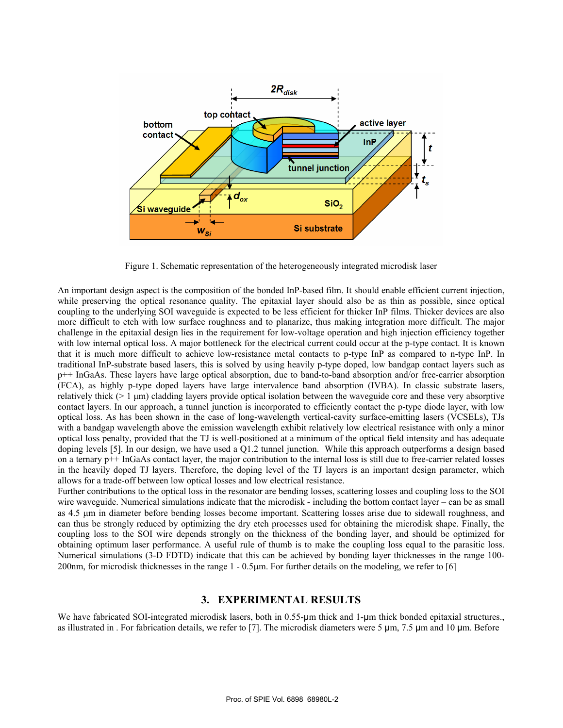

Figure 1. Schematic representation of the heterogeneously integrated microdisk laser

An important design aspect is the composition of the bonded InP-based film. It should enable efficient current injection, while preserving the optical resonance quality. The epitaxial layer should also be as thin as possible, since optical coupling to the underlying SOI waveguide is expected to be less efficient for thicker InP films. Thicker devices are also more difficult to etch with low surface roughness and to planarize, thus making integration more difficult. The major challenge in the epitaxial design lies in the requirement for low-voltage operation and high injection efficiency together with low internal optical loss. A major bottleneck for the electrical current could occur at the p-type contact. It is known that it is much more difficult to achieve low-resistance metal contacts to p-type InP as compared to n-type InP. In traditional InP-substrate based lasers, this is solved by using heavily p-type doped, low bandgap contact layers such as p++ InGaAs. These layers have large optical absorption, due to band-to-band absorption and/or free-carrier absorption (FCA), as highly p-type doped layers have large intervalence band absorption (IVBA). In classic substrate lasers, relatively thick  $(> 1 \mu m)$  cladding layers provide optical isolation between the waveguide core and these very absorptive contact layers. In our approach, a tunnel junction is incorporated to efficiently contact the p-type diode layer, with low optical loss. As has been shown in the case of long-wavelength vertical-cavity surface-emitting lasers (VCSELs), TJs with a bandgap wavelength above the emission wavelength exhibit relatively low electrical resistance with only a minor optical loss penalty, provided that the TJ is well-positioned at a minimum of the optical field intensity and has adequate doping levels [5]. In our design, we have used a Q1.2 tunnel junction. While this approach outperforms a design based on a ternary  $p++$  InGaAs contact layer, the major contribution to the internal loss is still due to free-carrier related losses in the heavily doped TJ layers. Therefore, the doping level of the TJ layers is an important design parameter, which allows for a trade-off between low optical losses and low electrical resistance.

Further contributions to the optical loss in the resonator are bending losses, scattering losses and coupling loss to the SOI wire waveguide. Numerical simulations indicate that the microdisk - including the bottom contact layer – can be as small as 4.5 µm in diameter before bending losses become important. Scattering losses arise due to sidewall roughness, and can thus be strongly reduced by optimizing the dry etch processes used for obtaining the microdisk shape. Finally, the coupling loss to the SOI wire depends strongly on the thickness of the bonding layer, and should be optimized for obtaining optimum laser performance. A useful rule of thumb is to make the coupling loss equal to the parasitic loss. Numerical simulations (3-D FDTD) indicate that this can be achieved by bonding layer thicknesses in the range 100- 200nm, for microdisk thicknesses in the range 1 - 0.5µm. For further details on the modeling, we refer to [6]

# **3. EXPERIMENTAL RESULTS**

We have fabricated SOI-integrated microdisk lasers, both in 0.55-µm thick and 1-µm thick bonded epitaxial structures., as illustrated in . For fabrication details, we refer to [7]. The microdisk diameters were 5  $\mu$ m, 7.5  $\mu$ m and 10  $\mu$ m. Before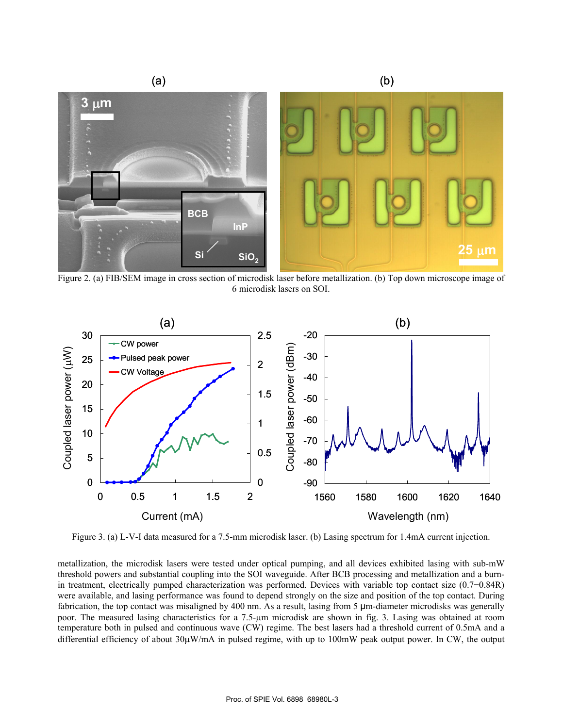

Figure 2. (a) FIB/SEM image in cross section of microdisk laser before metallization. (b) Top down microscope image of 6 microdisk lasers on SOI.



Figure 3. (a) L-V-I data measured for a 7.5-mm microdisk laser. (b) Lasing spectrum for 1.4mA current injection.

metallization, the microdisk lasers were tested under optical pumping, and all devices exhibited lasing with sub-mW threshold powers and substantial coupling into the SOI waveguide. After BCB processing and metallization and a burnin treatment, electrically pumped characterization was performed. Devices with variable top contact size (0.7−0.84R) were available, and lasing performance was found to depend strongly on the size and position of the top contact. During fabrication, the top contact was misaligned by 400 nm. As a result, lasing from 5  $\mu$ m-diameter microdisks was generally poor. The measured lasing characteristics for a 7.5-µm microdisk are shown in fig. 3. Lasing was obtained at room temperature both in pulsed and continuous wave (CW) regime. The best lasers had a threshold current of 0.5mA and a differential efficiency of about 30µW/mA in pulsed regime, with up to 100mW peak output power. In CW, the output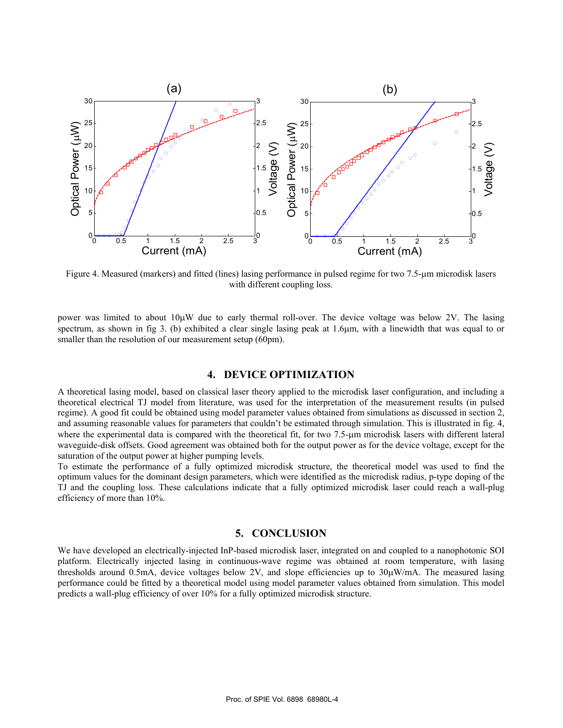

Figure 4. Measured (markers) and fitted (lines) lasing performance in pulsed regime for two 7.5-µm microdisk lasers with different coupling loss.

power was limited to about 10µW due to early thermal roll-over. The device voltage was below 2V. The lasing spectrum, as shown in fig 3. (b) exhibited a clear single lasing peak at 1.6 $\mu$ m, with a linewidth that was equal to or smaller than the resolution of our measurement setup (60pm).

# **4. DEVICE OPTIMIZATION**

A theoretical lasing model, based on classical laser theory applied to the microdisk laser configuration, and including a theoretical electrical TJ model from literature, was used for the interpretation of the measurement results (in pulsed regime). A good fit could be obtained using model parameter values obtained from simulations as discussed in section 2, and assuming reasonable values for parameters that couldn't be estimated through simulation. This is illustrated in fig. 4, where the experimental data is compared with the theoretical fit, for two 7.5-µm microdisk lasers with different lateral waveguide-disk offsets. Good agreement was obtained both for the output power as for the device voltage, except for the saturation of the output power at higher pumping levels.

To estimate the performance of a fully optimized microdisk structure, the theoretical model was used to find the optimum values for the dominant design parameters, which were identified as the microdisk radius, p-type doping of the TJ and the coupling loss. These calculations indicate that a fully optimized microdisk laser could reach a wall-plug efficiency of more than 10%.

# **5. CONCLUSION**

We have developed an electrically-injected InP-based microdisk laser, integrated on and coupled to a nanophotonic SOI platform. Electrically injected lasing in continuous-wave regime was obtained at room temperature, with lasing thresholds around 0.5mA, device voltages below 2V, and slope efficiencies up to 30µW/mA. The measured lasing performance could be fitted by a theoretical model using model parameter values obtained from simulation. This model predicts a wall-plug efficiency of over 10% for a fully optimized microdisk structure.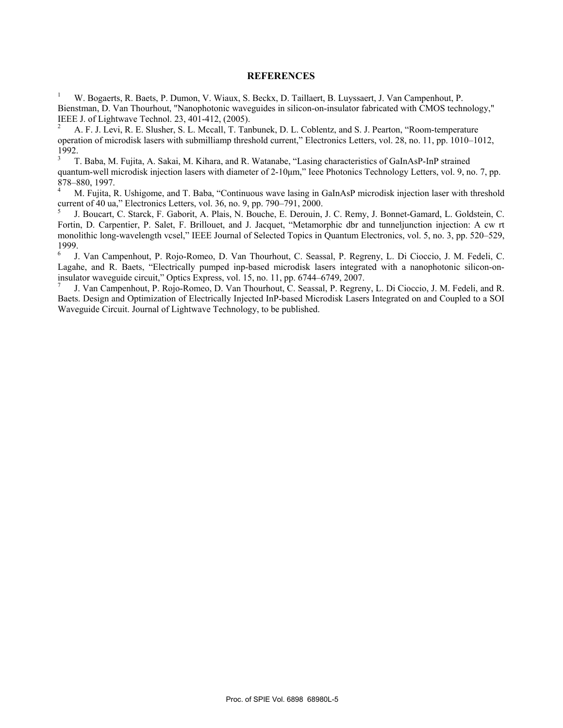## **REFERENCES**

<sup>1</sup> W. Bogaerts, R. Baets, P. Dumon, V. Wiaux, S. Beckx, D. Taillaert, B. Luyssaert, J. Van Campenhout, P. Bienstman, D. Van Thourhout, "Nanophotonic waveguides in silicon-on-insulator fabricated with CMOS technology," IEEE J. of Lightwave Technol. 23, 401-412, (2005).<br><sup>2</sup> A. F. J. Levi, R. E. Slusher, S. L. Mccall, T. Tanbunek, D. L. Coblentz, and S. J. Pearton, "Room-temperature

operation of microdisk lasers with submilliamp threshold current," Electronics Letters, vol. 28, no. 11, pp. 1010–1012, 1992.

<sup>3</sup> T. Baba, M. Fujita, A. Sakai, M. Kihara, and R. Watanabe, "Lasing characteristics of GaInAsP-InP strained quantum-well microdisk injection lasers with diameter of 2-10µm," Ieee Photonics Technology Letters, vol. 9, no. 7, pp. 878–880, 1997.

<sup>4</sup> M. Fujita, R. Ushigome, and T. Baba, "Continuous wave lasing in GaInAsP microdisk injection laser with threshold current of 40 ua," Electronics Letters, vol. 36, no. 9, pp. 790–791, 2000.

<sup>5</sup> J. Boucart, C. Starck, F. Gaborit, A. Plais, N. Bouche, E. Derouin, J. C. Remy, J. Bonnet-Gamard, L. Goldstein, C. Fortin, D. Carpentier, P. Salet, F. Brillouet, and J. Jacquet, "Metamorphic dbr and tunneljunction injection: A cw rt monolithic long-wavelength vcsel," IEEE Journal of Selected Topics in Quantum Electronics, vol. 5, no. 3, pp. 520–529,  $1999.$ 

<sup>6</sup> J. Van Campenhout, P. Rojo-Romeo, D. Van Thourhout, C. Seassal, P. Regreny, L. Di Cioccio, J. M. Fedeli, C. Lagahe, and R. Baets, "Electrically pumped inp-based microdisk lasers integrated with a nanophotonic silicon-oninsulator waveguide circuit," Optics Express, vol. 15, no. 11, pp. 6744–6749, 2007.

<sup>7</sup> J. Van Campenhout, P. Rojo-Romeo, D. Van Thourhout, C. Seassal, P. Regreny, L. Di Cioccio, J. M. Fedeli, and R. Baets. Design and Optimization of Electrically Injected InP-based Microdisk Lasers Integrated on and Coupled to a SOI Waveguide Circuit. Journal of Lightwave Technology, to be published.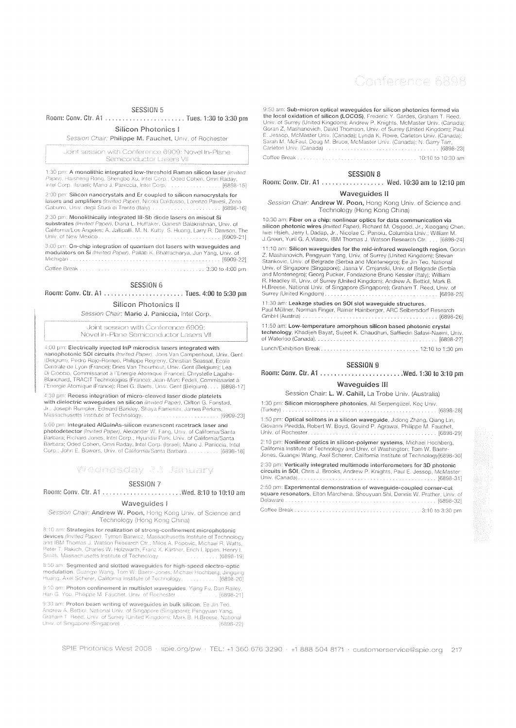# Conference 6898

### SESSION 5

#### Silicon Photonics I

Session Chair: Philippe M. Fauchet, Univ. of Rochester

Joint session with Conference 6909: Novel In-Plane Semiconductor Lasers VII

1:30 pm: A monolithic integrated low-threshold Raman silicon laser (Invited 16898-151

2:00 pm: Silicon nanocrystals and Er coupled to silicon nanocrystals for lasers and amplifiers (invited Paper), Nicola Daidosso, Lorenzo Pavesi, Zeno Gaburro, Univ. degli Studi di Trento (Italy).

# 2:30 pm: Monolithically integrated III-Sb diode lasers on miscut Si<br>substrates (Invited Paper), Diana L. Huffaker, Ganesh Balakrishnan, Univ. of

California/Los Angeles; A. Jallipalli, M. N. Kutty, S. Huang, Larry R. Dawson, The 

3:00 pm: On-chip integration of quantum dot lasers with waveguides and modulators on Si (Invited Paper), Pallab K. Bhattacharya, Jun Yang, Univ. of 

### SESSION 6

**Silicon Photonics II** 

#### Session Chair: Mario J. Paniccia, Intel Corp.

Joint session with Conference 6909:

Novel In-Plane Semiconductor Lasers VII

4:00 pm: Electrically injected InP microdisk lasers integrated with nanophotonic SOI circuits (Invited Paper), Jons Van Campenhout, Univ. Gent<br>(Belgium); Pedro Rojo-Romeo, Philippe Regreny, Christian Seassal, Ecole<br>Centrale de Lyon (France); Dries Van Thourhout, Univ. Gent (Belgium); Léa Di Cioccio, Commissariat à l'Energie Atomique (France); Chrystelle Lagahe-Blanchard, TRACIT Technologies (France); Jean-Marc Fedeli, Commissariat à l'Energie Atomique (France); Jean-Marc Fedeli, Commissariat à l'Energie At

4:30 pm: Recess integration of micro-cleaved laser diode platelets with dielectric waveguides on silicon (Invited Paper), Clifton G. Fonstad, Jr., Joseph Rumpler, Edward Barkley, Shaya Famenini, James Perkins, 

5:00 pm: Integrated AlGainAs-silicon evanescent racetrack laser and photodetector (Invited Paper), Alexander W. Fang, Univ. of California/Santa<br>Barbara; Richard Jones, Intel Corp.; Hyundai Park, Univ. of California/Santa Barbara; Oded Cohen, Omri Raday, Intel Corp. (Israel); Mario J. Paniccia, Intel Corp.; John E. Bowers, Univ. of California/Santa Barbara . . . . . . . . . . [6898-18]

Wednesday 23 January

#### SESSION 7

Waveguides I

Session Chair: Andrew W. Poon, Hong Kong Univ. of Science and Technology (Hong Kong China)

8:10 am: Strategies for realization of strong-confinement microphotonic devices (Invited Paper). Tymon Barwicz, Massachusetts institute of Technology<br>and IBM Thomas J. Watson Research Ctr.: Milos A. Popovic, Michael R. Watts. Peter T. Rakich, Charles W. Holzwarth, Franz X. Kärtner, Erich I, Ippen, Henry I Smith, Massachusetts Institute of Technology. . . [6898-19]

8:50 am: Segmented and slotted waveguides for high-speed electro-optic 

9:10 am: Photon confinement in multislot waveguides, Yijing Fu, Dan Railey Han G. Yoo, Philippe M. Fauchet, Univ. of Rochester . . . . . . . . . . . . . [6898-21]

9:30 am: Proton beam writing of waveguides in bulk silicon, Ee Jin Teo, Andrew A, Bettiol, National Univ. of Singapore (Singapore); Pengyuan Yang, Graham T. Reed, Univ. of Surrey (United Kingdom); Mark B. H.Breese, National Univ. of Singapore (Singapore) (6898-22)

9:50 am: Sub-micron optical waveguides for silicon photonics formed via 9:50 am: **Sub-micron optical waveguides tor silicon pnotonics formed via**<br>the local oxidation of silicon (LOCOS), Frederic Y. Gardes, Graham T. Reed,<br>Univ. of Surrey (United Kingdom); Andrew P. Knights, McMaster Univ. (Can 

#### SESSION 8

# Room: Conv. Ctr. A1 . . . . . . . . . . . . . . . . . Wed. 10:30 am to 12:10 pm Waveguides II

Session Chair: Andrew W. Poon, Hong Kong Univ. of Science and Technology (Hong Kong China)

10:30 am: Fiber on a chip: nonlinear optics for data communication via silicon photonic wires (Invited Paper), Richard M. Osgood, Jr., Xiaogang Chen, Gilliam Machine Chemine of Machine Chemine Columbia University International Machine Insert, Nedlae C. Panolu, Columbia University Insert, J. Chemine Insert, Nedlae C. Panolu, Columbia University Insert, Nedlae C. Panolu,

11:10 am: Silicon waveguides for the mid-infrared wavelength region, Goran Z. Mashanovich, Pengyuan Yang, Univ. of Surrey (United Kingdom); Stevan Stankovic, Univ. of Belgrade (Serbia and Montenegro); Ee Jin Teo, National Univ. of Singapore (Singapore); Jasna V. Crnjanski, Univ. of Belgrade (Serbia and Montenegro); Georg Pucker, Fondazione Bruno Kessler (Italy); William R. Headley III, Univ. of Surrey (United Kingdom); Andrew A. Bettiol, Mark B. H. Hoddiey ill, Statt St Survey (Stiller Lilly Lilly) in T. Reed, Univ. of Surrey (United Kingdom).............. 

11:30 am: Leakage studies on SOI slot waveguide structures, Paul Müllner, Norman Finger, Rainer Hainberger, ARC Seibersdorf Research 11:50 am: Low-temperature amorphous silicon based photonic crystal technology, Khadijeh Bayat, Sujeet K. Chaudhuri, Saffiedin Safavi-Naeini, Univ

#### SESSION 9

Waveguides III Session Chair: L. W. Cahill, La Trobe Univ. (Australia)

1:30 pm: Silicon microsphere photonics, Ali Serpengüzel, Koç Univ.

 $\ldots$  [6898-28] 

1:50 pm: Optical solitons in a silicon waveguide, Jidong Zhang, Qiang Lin, Giovanni Piredda, Robert W. Boyd, Govind P. Agrawal, Philippe M. Fauchet, 

2:10 pm: Nonlinear optics in silicon-polymer systems, Michael Hochberg, California Institute of Technology and Univ. of Washington; Tom W. Baehr Jones, Guangxi Wang, Axel Scherer, California Institute of Technology[6898-30]

| 2:30 pm: Vertically integrated multimode interferometers for 3D photonic<br>circuits in SOI, Chris J. Brooks, Andrew P. Knights, Paul E. Jessop, McMaster |
|-----------------------------------------------------------------------------------------------------------------------------------------------------------|
| 2:50 pm: Experimental demonstration of waveguide-coupled corner-cut                                                                                       |
| square resonators, Elton Marchena, Shouyuan Shi, Dennis W. Prather, Univ. of                                                                              |

SPIE Photonics West 2008 · spie.org/pw · TEL: +1 360 676 3290 · +1 888 504 8171 · customerservice@spie.org 217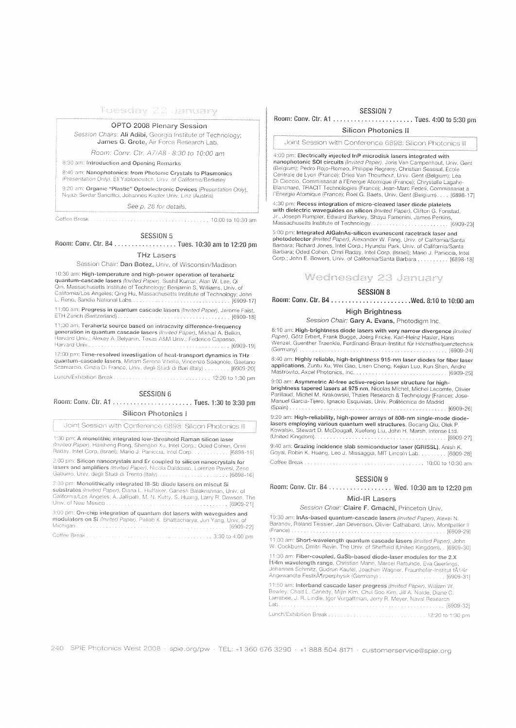## Tuesday 22 January

# OPTO 2008 Plenary Session

Session Chairs: Ali Adibi, Georgia Institute of Technology; James G. Grote, Air Force Research Lab.

Room: Conv. Ctr. A7/A8 - 8:30 to 10:00 am

8:30 am: Introduction and Opening Remarks

8:40 am: Nanophotonics: from Photonic Crystals to Plasmonics

(Presentation Only), Eli Yablonovitch, Univ. of California/Berkeley 9:20 am: Organic "Plastic" Optoelectronic Devices (Presentation Only), Nivazi Serdar Sariciftci, Johannes Kepler Univ. Linz (Austria)

See p. 28 for details

#### SESSION 5

# Room: Conv. Ctr. B4 . . . . . . . . . . . . . . . . . Tues. 10:30 am to 12:20 pm

**THz Lasers** 

Session Chair: Dan Botez, Univ. of Wisconsin/Madison

10:30 am: High-temperature and high-power operation of terahertz quantum-cascade lasers (Invited Paper), Sushil Kumar, Alan W. Lee, Qi<br>Qin, Massachusetts Institute of Technology: Benjamin S. Williams, Univ. of California/Los Angeles; Qing Hu, Massachusetts Institute of Technology; John 

11:00 am: Progress in quantum cascade lasers (Invited Paper), Jerome Faist, 

11:30 am: Terahertz source based on intracavity difference-frequency generation in quantum cascade lasers (Invited Paper), Mikhail A. Belkin, Harvard Univ.; Alexey A. Belyanin, Texas A&M Univ.; Federico Capasso, Harvard Univ. (6909-19)

12:00 pm: Time-resolved investigation of heat-transport dynamics in THz quantum-cascade fasers, Miriam Serena Vitiello, Vincenzo Spagnolo, Gaetano -----<br>Scamarcio, Cinzia Di Franco, Univ. degli Studi di Bari (Italy) . . . . .  $\ldots$  [6909-20] Lunch/Exhibition Break ................ 12:20 to 1:30 pm

#### SESSION 6

Silicon Photonics I

Joint Session with Conference 6898: Silicon Photonics III

1:30 pm: A monolithic integrated low-threshold Raman silicon laser (Invited Paper), Haisheng Rong, Shengbo Xu, Intel Corp.; Oded Cohen, Omri Raday, Intel Corp. (Israel); Mario J. Paniccia, Intel Corp. . . . . . . . . . . [6898-15] 2:00 pm; Silicon nanocrystals and Er coupled to silicon nanocrystals for Lasers and amplifiers (Invited Paper). Nicola Daldosso, Lorenzo Pavesi, Zeno<br>Gaburro, Univ. degli Studi di Trento (Italy)

2:30 pm: Monolithically integrated III-Sb diode lasers on miscut Si substrates (Invited Paper), Diana L. Huffaker, Ganesh Balakrishnan, Univ. of<br>California/Los Angeles; A. Jallipalli, M. N. Kutty, S. Huang, Larry R. Dawson, The Univ. of New Mexico...  $(6909-21)$ 

3:00 pm: On-chip integration of quantum dot lasers with wavequides and modulators on Si (Invited Paper), Pallab K. Bhattacharya, Jun Yang, Univ. of Coffee Break.  SESSION 7

#### Silicon Photonics II

Joint Session with Conference 6898: Silicon Photonics III

4:00 pm: Electrically injected InP microdisk lasers integrated with nanophotonic SOI circuits (Invited Paper), Jons Van Campenhout, Univ. Gent<br>(Belgium); Pedro Rojo-Romeo, Philippe Regreny, Christian Seassal, Ecole<br>Centrale de Lyon (France); Dries Van Thourhout, Univ. Gent (Belgium); Léa Centrals de Lyon (France), Dires van Thomnou, Onte, Den (Dolgtan), Lou<br>Di Cioccio, Commissariat à l'Energie Atomique (France); Chrystelle Lagahe-<br>Blanchard, TRACIT Technologies (France); Jean-Marc Fedeli, Commissariat à l'Energie Atomique (France); Roel G. Baets, Univ. Gent (Belgium).... [6898-17]

4:30 pm: Recess integration of micro-cleaved laser diode platelets with dielectric waveguides on silicon (Invited Paper), Clifton G. Fonstad, Jr., Joseph Rumpler, Edward Barkley, Shaya Famenini, James Perkins, 

5:00 pm: Integrated AlGaInAs-silicon evanescent racetrack laser and photodetector (Invited Paper), Alexander W. Fang, Univ. of California/Santa<br>Barbara; Richard Jones, Intel Corp.; Hyundai Park, Univ. of California/Santa Barbara; Oded Cohen, Omri Raday, Intel Corp. (Israel); Mario J. Paniccia, Intel Corp.; John E. Bowers, Univ. of California/Santa Barbara . . . . . . . . . . . [6898-18]

### Wednesday 23 January

#### **SESSION 8**

Room: Conv. Ctr. B4 . . . . . . . ................Wed. 8:10 to 10:00 am

**High Brightness** 

Session Chair: Gary A. Evans, Photodigm Inc.

8:10 am: High-brightness diode lasers with very narrow divergence (Invited of the anti-market and the state of the state of the state of the state of the Paper), Götz Erbert, Frank Bugge, Joerg Fricke, Karl-Heinz Hasler, Hans<br>Wenzel, Guenther Traenkle, Ferdinand-Braun-Institut für Höchstfrequenzt (Germany)  $.16909 - 241$ . . . . . . . . . . . . .

8:40 am: Highly reliable, high-brightness 915-nm laser diodes for fiber laser applications, Zuntu Xu, Wei Gao, Lisen Cheng, Kejian Luo, Kun Shen, Andre 

9:00 am: Asymmetric Al-free active-region laser structure for highbrightness tapered lasers at 975 nm, Nicolas Michel, Michel Lecomte, Olivier Parillaud, Michel M. Krakowski, Thales Research & Technology (France); Jose-Manuel García-Tijero, Ignacio Esquivias, Univ. Politécnica de Madrid (Spain).  $[6909-26]$ 9:20 am: High-reliability, high-power arrays of 808-nm single-mode diodelasers employing various quantum well structures, Bocang Qiu, Olek P<br>Kowalski, Stewart D. McDougall, Xuefeng Liu, John H. Marsh, Intense Ltd. 

9:40 am: Grazing incidence slab semiconductor laser (GRISSL), Anish K Goyal, Robin K. Huang, Leo J. Missaggia, MIT Lincoln Lab. . . . . . . . . [6909-28] 

#### SESSION 9

Mid-IR Lasers

Session Chair: Claire F. Gmachl, Princeton Univ.

10:30 am: InAs-based quantum-cascade lasers (Invited Paper), Alexei N. Baranov, Roland Teissier, Jan Devenson, Olivier Cathabard, Univ. Montpellier II (France)... 

11:00 am: Short-wavelength quantum cascade lasers (Invited Paper), John W. Cockburn, Dmitri Revin, The Univ. of Sheffield (United Kingdom). [6909-30]

11:30 am: Fiber-coupled, GaSb-based diode-laser modules for the 2.X 11.30 am. Fiber-coupled, Gabo-Lased Group-raser modulus for any Mr.<br>11/4m wavelength range, Christian Mann, Marcel Rattunde, Eva Geerlings, Johannes Schmitz, Gudrun Kaufel, Joachim Wagner, Fraunhofer-Institut 141/4r Angewandte FestkĶrperphysik (Germany). [6909-31]

11:50 am: Interband cascade laser progress (Invited Paper), William W. Bewley, Chad L. Canedy, Mijin Kim, Chul Soo Kim, Jill A. Nolde, Diane C.<br>Larrabee, J. R. Lindle, Igor Vurgaftman, Jerry R. Meyer, Naval Research Lab... (6909-32) 

240 SPIE Photonics West 2008 · spie.org/pw · TEL: +1 360 676 3290 · +1 888 504 8171 · customerservice@spie.org